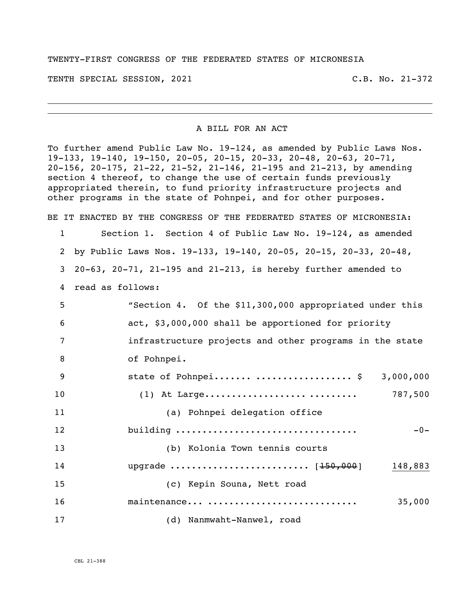TWENTY-FIRST CONGRESS OF THE FEDERATED STATES OF MICRONESIA

TENTH SPECIAL SESSION, 2021 C.B. No. 21-372

## A BILL FOR AN ACT

To further amend Public Law No. 19-124, as amended by Public Laws Nos. 19-133, 19-140, 19-150, 20-05, 20-15, 20-33, 20-48, 20-63, 20-71, 20-156, 20-175, 21-22, 21-52, 21-146, 21-195 and 21-213, by amending section 4 thereof, to change the use of certain funds previously appropriated therein, to fund priority infrastructure projects and other programs in the state of Pohnpei, and for other purposes.

BE IT ENACTED BY THE CONGRESS OF THE FEDERATED STATES OF MICRONESIA:

 Section 1. Section 4 of Public Law No. 19-124, as amended by Public Laws Nos. 19-133, 19-140, 20-05, 20-15, 20-33, 20-48, 20-63, 20-71, 21-195 and 21-213, is hereby further amended to

read as follows:

| 5  | "Section 4. Of the \$11,300,000 appropriated under this |
|----|---------------------------------------------------------|
| 6  | act, \$3,000,000 shall be apportioned for priority      |
| 7  | infrastructure projects and other programs in the state |
| 8  | of Pohnpei.                                             |
| 9  | state of Pohnpei  \$<br>3,000,000                       |
| 10 | $(1)$ At Large<br>787,500                               |
| 11 | (a) Pohnpei delegation office                           |
| 12 | building<br>$-0-$                                       |
| 13 | (b) Kolonia Town tennis courts                          |
| 14 | upgrade $[150,000]$<br>148,883                          |
| 15 | (c) Kepin Souna, Nett road                              |
| 16 | maintenance<br>35,000                                   |

(d) Nanmwaht-Nanwel, road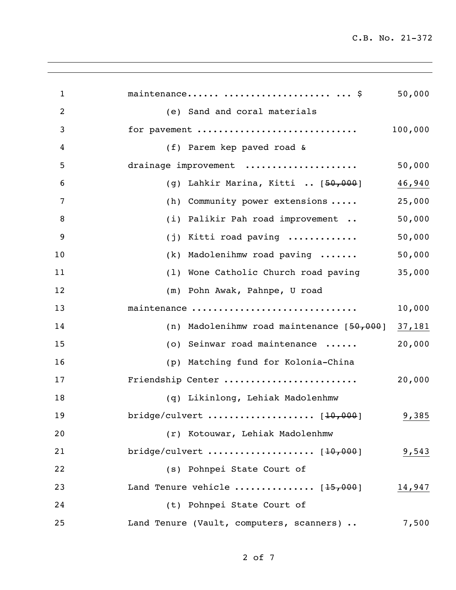C.B. No. 21-372

| $\mathbf{1}$   | maintenance   \$                            | 50,000  |
|----------------|---------------------------------------------|---------|
| $\overline{2}$ | (e) Sand and coral materials                |         |
| 3              | for pavement                                | 100,000 |
| 4              | (f) Parem kep paved road &                  |         |
| 5              | drainage improvement                        | 50,000  |
| 6              | (g) Lahkir Marina, Kitti  [50,000]          | 46,940  |
| 7              | (h) Community power extensions              | 25,000  |
| 8              | (i) Palikir Pah road improvement            | 50,000  |
| 9              | Kitti road paving<br>(j)                    | 50,000  |
| 10             | (k) Madolenihmw road paving                 | 50,000  |
| 11             | (1) Wone Catholic Church road paving        | 35,000  |
| 12             | (m) Pohn Awak, Pahnpe, U road               |         |
| 13             | maintenance                                 | 10,000  |
| 14             | (n) Madolenihmw road maintenance $[50,000]$ | 37,181  |
| 15             | (o) Seinwar road maintenance                | 20,000  |
| 16             | (p) Matching fund for Kolonia-China         |         |
| 17             | Friendship Center                           | 20,000  |
| 18             | (q) Likinlong, Lehiak Madolenhmw            |         |
| 19             |                                             | 9,385   |
| 20             | (r) Kotouwar, Lehiak Madolenhmw             |         |
| 21             |                                             | 9,543   |
| 22             | (s) Pohnpei State Court of                  |         |
| 23             | Land Tenure vehicle $[15,000]$              | 14,947  |
| 24             | (t) Pohnpei State Court of                  |         |
| 25             | Land Tenure (Vault, computers, scanners)    | 7,500   |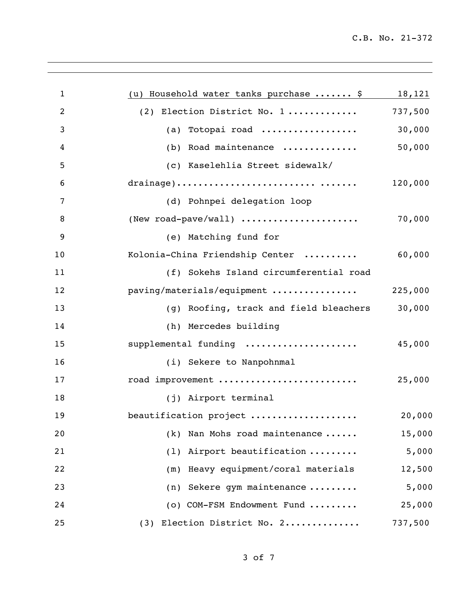| $\mathbf{1}$   | (u) Household water tanks purchase  \$ | 18,121  |
|----------------|----------------------------------------|---------|
| $\overline{2}$ | (2) Election District No. 1            | 737,500 |
| 3              | (a) Totopai road                       | 30,000  |
| 4              | (b) Road maintenance                   | 50,000  |
| 5              | (c) Kaselehlia Street sidewalk/        |         |
| 6              |                                        | 120,000 |
| 7              | (d) Pohnpei delegation loop            |         |
| 8              | (New road-pave/wall)                   | 70,000  |
| 9              | (e) Matching fund for                  |         |
| 10             | Kolonia-China Friendship Center        | 60,000  |
| 11             | (f) Sokehs Island circumferential road |         |
| 12             | paving/materials/equipment             | 225,000 |
| 13             | (g) Roofing, track and field bleachers | 30,000  |
| 14             | (h) Mercedes building                  |         |
| 15             | supplemental funding                   | 45,000  |
| 16             | (i) Sekere to Nanpohnmal               |         |
| 17             | road improvement                       | 25,000  |
| 18             | (j) Airport terminal                   |         |
| 19             | beautification project                 | 20,000  |
| 20             | Nan Mohs road maintenance<br>(k)       | 15,000  |
| 21             | Airport beautification<br>(1)          | 5,000   |
| 22             | Heavy equipment/coral materials<br>(m) | 12,500  |
| 23             | Sekere gym maintenance<br>(n)          | 5,000   |
| 24             | (o) COM-FSM Endowment Fund             | 25,000  |
| 25             | (3) Election District No. 2            | 737,500 |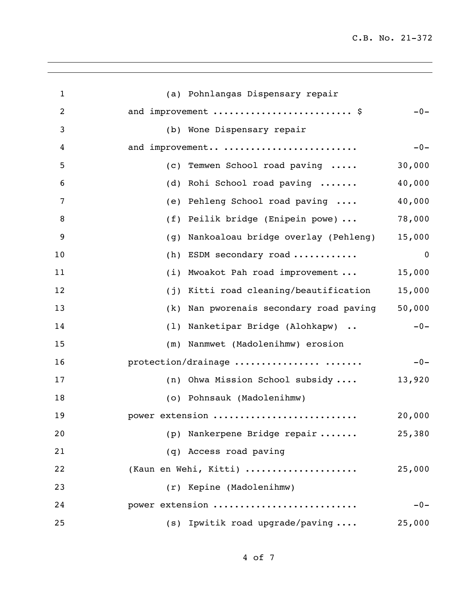C.B. No. 21-372

| $\mathbf 1$    | (a) Pohnlangas Dispensary repair                     |
|----------------|------------------------------------------------------|
| $\overline{2}$ | and improvement  \$<br>$-0-$                         |
| 3              | (b) Wone Dispensary repair                           |
| 4              | and improvement<br>$-0-$                             |
| 5              | 30,000<br>(c) Temwen School road paving              |
| 6              | Rohi School road paving<br>40,000<br>(d)             |
| 7              | 40,000<br>Pehleng School road paving<br>(e)          |
| 8              | Peilik bridge (Enipein powe)<br>78,000<br>(f)        |
| 9              | 15,000<br>Nankoaloau bridge overlay (Pehleng)<br>(g) |
| 10             | ESDM secondary road<br>(h)<br>$\mathbf 0$            |
| 11             | Mwoakot Pah road improvement<br>15,000<br>(i)        |
| 12             | (j) Kitti road cleaning/beautification<br>15,000     |
| 13             | 50,000<br>Nan pworenais secondary road paving<br>(k) |
| 14             | (1) Nanketipar Bridge (Alohkapw)<br>$-0-$            |
| 15             | (m) Nanmwet (Madolenihmw) erosion                    |
| 16             | protection/drainage<br>$-0-$                         |
| 17             | 13,920<br>(n) Ohwa Mission School subsidy            |
| 18             | (o) Pohnsauk (Madolenihmw)                           |
| 19             | 20,000<br>power extension                            |
| 20             | (p) Nankerpene Bridge repair<br>25,380               |
| 21             | (q) Access road paving                               |
| 22             | (Kaun en Wehi, Kitti)<br>25,000                      |
| 23             | (r) Kepine (Madolenihmw)                             |
| 24             | power extension<br>$-0-$                             |
| 25             | $(s)$ Ipwitik road upgrade/paving<br>25,000          |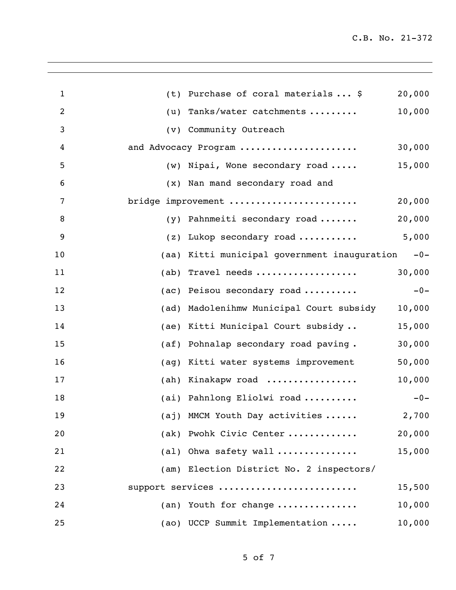| (t) | Purchase of coral materials  \$         | 20,000                                                                                                                                                                                                                                                                                                                                                                                                                                                                        |
|-----|-----------------------------------------|-------------------------------------------------------------------------------------------------------------------------------------------------------------------------------------------------------------------------------------------------------------------------------------------------------------------------------------------------------------------------------------------------------------------------------------------------------------------------------|
|     |                                         |                                                                                                                                                                                                                                                                                                                                                                                                                                                                               |
|     | Tanks/water catchments                  | 10,000                                                                                                                                                                                                                                                                                                                                                                                                                                                                        |
|     | Community Outreach                      |                                                                                                                                                                                                                                                                                                                                                                                                                                                                               |
|     |                                         | 30,000                                                                                                                                                                                                                                                                                                                                                                                                                                                                        |
|     |                                         | 15,000                                                                                                                                                                                                                                                                                                                                                                                                                                                                        |
|     | Nan mand secondary road and             |                                                                                                                                                                                                                                                                                                                                                                                                                                                                               |
|     |                                         | 20,000                                                                                                                                                                                                                                                                                                                                                                                                                                                                        |
|     | Pahnmeiti secondary road                | 20,000                                                                                                                                                                                                                                                                                                                                                                                                                                                                        |
|     | Lukop secondary road                    | 5,000                                                                                                                                                                                                                                                                                                                                                                                                                                                                         |
|     | Kitti municipal government inauguration | $-0-$                                                                                                                                                                                                                                                                                                                                                                                                                                                                         |
|     | Travel needs                            | 30,000                                                                                                                                                                                                                                                                                                                                                                                                                                                                        |
|     | Peisou secondary road                   | $-0-$                                                                                                                                                                                                                                                                                                                                                                                                                                                                         |
|     | Madolenihmw Municipal Court subsidy     | 10,000                                                                                                                                                                                                                                                                                                                                                                                                                                                                        |
|     |                                         | 15,000                                                                                                                                                                                                                                                                                                                                                                                                                                                                        |
|     | Pohnalap secondary road paving.         | 30,000                                                                                                                                                                                                                                                                                                                                                                                                                                                                        |
|     | Kitti water systems improvement         | 50,000                                                                                                                                                                                                                                                                                                                                                                                                                                                                        |
|     | Kinakapw road                           | 10,000                                                                                                                                                                                                                                                                                                                                                                                                                                                                        |
|     |                                         | $-0-$                                                                                                                                                                                                                                                                                                                                                                                                                                                                         |
|     |                                         | 2,700                                                                                                                                                                                                                                                                                                                                                                                                                                                                         |
|     |                                         | 20,000                                                                                                                                                                                                                                                                                                                                                                                                                                                                        |
|     |                                         | 15,000                                                                                                                                                                                                                                                                                                                                                                                                                                                                        |
|     |                                         |                                                                                                                                                                                                                                                                                                                                                                                                                                                                               |
|     |                                         | 15,500                                                                                                                                                                                                                                                                                                                                                                                                                                                                        |
|     |                                         | 10,000                                                                                                                                                                                                                                                                                                                                                                                                                                                                        |
|     |                                         | 10,000                                                                                                                                                                                                                                                                                                                                                                                                                                                                        |
|     |                                         | (u)<br>$(\nu)$<br>and Advocacy Program<br>(w) Nipai, Wone secondary road<br>$(\mathbf{x})$<br>bridge improvement<br>(y)<br>(z)<br>(aa)<br>(ab)<br>(ac)<br>(ad)<br>(ae) Kitti Municipal Court subsidy<br>(a f)<br>(ag)<br>(ah)<br>(ai) Pahnlong Eliolwi road<br>(aj) MMCM Youth Day activities<br>(ak) Pwohk Civic Center<br>(al) Ohwa safety wall<br>(am) Election District No. 2 inspectors/<br>support services<br>(an) Youth for change<br>(ao) UCCP Summit Implementation |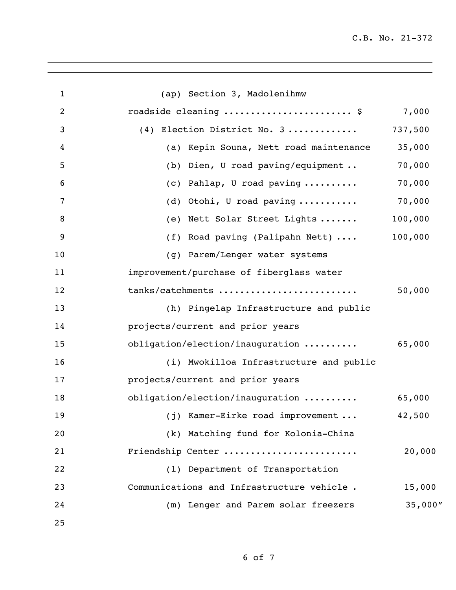C.B. No. 21-372

| $\mathbf{1}$   | (ap) Section 3, Madolenihmw                     |          |
|----------------|-------------------------------------------------|----------|
| $\overline{2}$ | roadside cleaning  \$                           | 7,000    |
| 3              | Election District No. 3<br>(4)                  | 737,500  |
| 4              | (a) Kepin Souna, Nett road maintenance          | 35,000   |
| 5              | (b) Dien, U road paving/equipment               | 70,000   |
| 6              | $(c)$ Pahlap, U road paving                     | 70,000   |
| 7              | (d) Otohi, U road paving $\ldots \ldots \ldots$ | 70,000   |
| 8              | (e) Nett Solar Street Lights                    | 100,000  |
| 9              | (f) Road paving (Palipahn Nett)                 | 100,000  |
| 10             | (g) Parem/Lenger water systems                  |          |
| 11             | improvement/purchase of fiberglass water        |          |
| 12             | tanks/catchments                                | 50,000   |
| 13             | (h) Pingelap Infrastructure and public          |          |
| 14             | projects/current and prior years                |          |
| 15             | obligation/election/inauguration                | 65,000   |
| 16             | (i) Mwokilloa Infrastructure and public         |          |
| 17             | projects/current and prior years                |          |
| 18             | obligation/election/inauguration                | 65,000   |
| 19             | (j) Kamer-Eirke road improvement                | 42,500   |
| 20             | (k) Matching fund for Kolonia-China             |          |
| 21             | Friendship Center                               | 20,000   |
| 22             | (1) Department of Transportation                |          |
| 23             | Communications and Infrastructure vehicle.      | 15,000   |
| 24             | (m) Lenger and Parem solar freezers             | 35,000'' |
| 25             |                                                 |          |